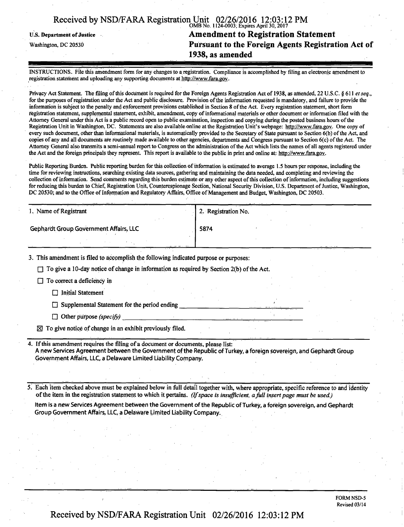| Received by NSD/FARA Registration Unit 02/26/2016 12:03:12 PM |                                           |  |
|---------------------------------------------------------------|-------------------------------------------|--|
|                                                               | OMB No. 1124-0003; Expires April 30, 2017 |  |

# U.S. Department of Justice **Amendment to Registration Statement**<br>Washington, DC 20530 **Pursuant to the Foreign Agents Registration Pursuant to the Foreign Agents Registration Act of 1938, as amended**

INSTRUCTIONS. File this amendment form for any changes to a registration. Compliance is accomplished by filing an electronic amendment to registration statement and uploading any supporting documents at http://www.fara.gov.

Privacy Act Statement. The filing of this document is required for the Foreign Agents Registration Act of 1938, as amended, 22 U.S.C. § 611 et seq., for the purposes of registration under the Act and public disclosure. Provision of the information requested is mandatory, and failure to provide the information is subject to the penalty and enforcement provisions established in Section 8 of the Act. Every registration statement, short form registration statement, supplemental statement, exhibit, amendment, copy of informational materials or other document or information filed with the Attorney General under this Act is a public record open to public examination, inspection and copying during the posted business hours of the Registration Unit in Washington, DC. Statements are also available online at the Registration Unit's webpage: http://www.fara.gov. One copy of every such document, other than informational materials, is automatically provided to the Secretary of State pursuant to Section 6(b) of the Act, and copies of any and all documents are routinely made available to other agencies, departments and Congress pursuant to Section 6(c) of the Act. The Attorney General also transmits a semi-annual report to Congress on the administration of the Act which lists the names of all agents registered under the Act and the foreign principals they represent. This report is available to the public in print and online at; http://www.fara.gov.

Public Reporting Burden. Public reporting burden for this collection of information is estimated to average 1.5 hours per response, including the time for reviewing instructions, searching existing data sources, gathering and maintaining the data needed, and completing and reviewing the collection of information. Send comments regarding this burden estimate or any other aspect of this collection of information, including suggestions for reducing this burden to Chief, Registration Unit, Counterespionage Section, National Security Division, U.S. Department of Justice, Washington, DC 20530; and to the Office of Information and Regulatory Affairs, Office of Management and Budget, Washington, DC 20503.

| 1. Name of Registrant                         | 2. Registration No. |  |
|-----------------------------------------------|---------------------|--|
| <b>Gephardt Group Government Affairs, LLC</b> | 5874                |  |
| - - - - -<br>.                                | . <del>.</del>      |  |

3. This amendment is filed to accomplish the following indicated purpose or purposes:

 $\Box$  To give a 10-day notice of change in information as required by Section 2(b) of the Act.

 $\Box$  To correct a deficiency in

 $\Box$  Initial Statement

 $\Box$  Supplemental Statement for the period ending

*• Other purpose (specify)* 

 $\boxtimes$  To give notice of change in an exhibit previously filed.

If this amendment requires the filing of a document or documents, please list: A new Services Agreement between the Government of the Republic of Turkey, a foreign sovereign, and Gephardt Group Govemment Affairs, LLC, a Delaware Limited Liability Company.

*5. Each item checked above must be explained below in full detail together with, where appropriate, specific reference to and identity ofthe item in the registration statement to which it pertains. (If space is insufficient, a full insert page must be used.)* 

Item is a new Services Agreement between the Government of the Republic of Turkey, a foreign sovereign, and Gephardt Group Government Affairs, LLC, a Delaware Limited Liability Company.

> FORM NSD-5 Revised 03/14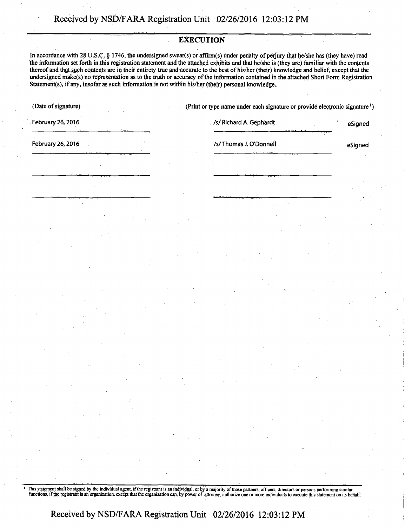### **EXECUTION**

**In accordance with 28 U.S.C, § 1746, the undersigned swear(s) or affirm(s) under penalty of perjury that he/she has (they have) read the information set forth in this registration statement and the attached exhibits and that he/she is (they are) familiar with the contents thereof and that such contents are in their entirety true and accurate to the best of his/her (their) knowledge and belief, except that the undersigned make(s) no representation as to the truth or accuracy of the information contained in the attached Short Form Registration Statements), if any, insofar as such information is not within his/her (their) personal knowledge.** 

|  | (Date of signature) |
|--|---------------------|
|  |                     |

(Print or type name under each signature or provide electronic signature<sup>1</sup>)

**February 26, 2016** *Contrast Contrast A. Gephardt A. Gephardt <b>esigned Contrast Contrast Contrast A. Gephardt* **esigned** 

**February 26, 2016** *COLOREY <b>EXISTENT COLOREY ASSESSMENT COLOREY <b><i>CSIGNER ASSESSMENT CSIGNER <b>CSIGNER* 

This statement shall be signed by the individual agent, if the registrant is an individual, or by a majority of those partners, officers, directors or persons performing similar functions, if the registrant is an organizat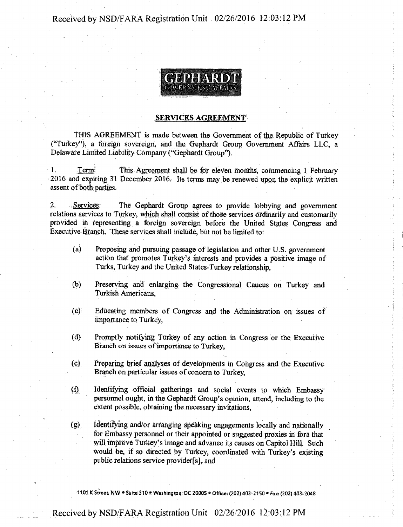Received by NSD/FARA Registration Unit 02/26/2016 12:03:12 PM



### SERVICES AGREEMENT'

THIS AGREEMENT is made between the Government of the Republic of Turkey ("Turkey"), a foreign sovereign, and the Gephardt Group Government Affairs LLC, a Delaware Limited Liability Company ("Gephardt Group").

1. Term: This Agreement shall be for eleven months, commencing 1 February 2016 and expiring 31 December 2016; Its terms may be renewed upon the explicit written assent of both parties.

2. Services: The Gephardt Group agrees to provide lobbying and government relations services to Turkey, which shall consist of those services ordinarily and customarily provided ih representing a foreign sovereign before the United States Congress and Executive Branch, These services shall include, but not be limited to:

- (a) Proposing and pursuing passage of legislation and other U.S. government action that promotes Turkey's interests and provides a positive image of Turks, Turkey and the United States-Turkey relationship,
- (b) Preserving and enlarging the Congressional Caucus on Turkey and Turkish Americans,
- (c) Educating members of Congress and the Administration on issues of importance to Turkey,
- (d) Promptly notifying Turkey of any action in Congress or the Executive Branch on issues of importance to Turkey,
- (e) Preparing brief analyses of developments in Congress and the Executive Branch oh particular issues of concern to Turkey,
- (f) Identifying official gatherings and social events to which Embassy personnel ought, in the Gephardt Group's opinion, attend, including to the extent possible, obtaining the necessary invitations,

(g), Identifying and/or arranging speaking engagements locally and nationally for Embassy personnel or their appointed or suggested proxies in fora that will improve Turkey's image and advance its causes on Capitol Hill. Such would be, if so directed by Turkey, coordinated with Turkey's existing public relations service provider[s], and

1101 K Street, NW • Suite 310 • Washington, DC 20005 • Office: (202) 403-2150 • Fax: (202) 403-2048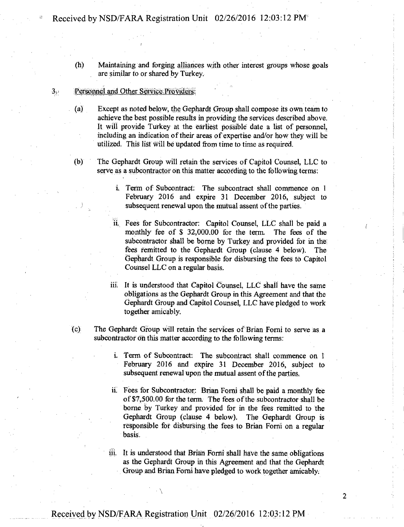(h) Maintaining and forging alliances with other interest groups whose goals are similar to or shared by Turkey.

#### $3\cdot$ Personnel and Other Service Providers:

- (a) Except as noted below, the Gephardt Group shall compose its own team to achieve the best possible results in providing the services described above. It will provide Turkey at the earliest possible date a list of personnel, including an indication of their areas of expertise and/or how they will be utilized. This list will be updated from time to time as required.
- (b) The Gephardt Group will retain the services of Capitol Counsel, LLC to serve as a subcontractor on this matter according to the following terms:
	- i. Term of Subcontract: The subcontract shall commence on 1 February 2016 and expire 31 December 2016, subject to subsequent renewal upon the mutual assent of the parties.
	- ii. Fees for Subcontractor: Capitol Counsel, LLC shall be paid a monthly fee of \$ 32,000.00 for the term. The fees of the subcontractor shall be borne by Turkey and provided for in the fees remitted to the Gephardt Group (clause 4 below). The Gephardt Group is responsible for disbursing the fees to Capitol Counsel LLC on a regular basis.
	- iii. It is understood that Capitol Counsel, LLC shall have the same obligations as the Gephardt Group in this Agreement and that the Gephardt Group and Capitol Counsel, LLC have pledged to work together amicably.
- (c) The Gephardt Group will retain the services of Brian Forni to serve as a subcontractor on this matter according to the following terms:
	- i. Term of Subcontract: The subcontract shall commence on I February 2016 and expire 31 December 2016, subject to subsequent renewal upon the mutual assent of the parties,
	- ii. Fees for Subcontractor: Brian Forni shall be paid a monthly fee of \$7,500.00 for the term. The fees of the subcontractor shall be borne by Turkey and provided for in the fees remitted to the Gephardt Group (clause 4 below). The Gephardt Group is responsible for disbursing the fees to Brian Forni on a regular basis.
	- iii. It is understood that Brian Forni shall have the same obligations as the Gephardt Group in this Agreement and that the Gephardt Group and Brian Forni have pledged to work together amicably;

 $\overline{2}$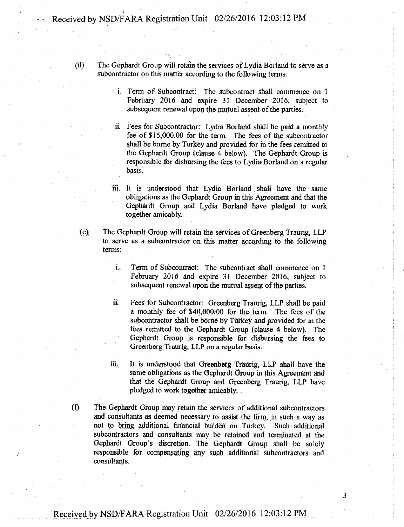Received by NSD/FARA Registration Unit 02/26/2016 12:03:12 PM

(d) The Gephardt Group will retain the services of Lydia Borland to serve as a subcontractor on this matter according to the following terms:

> i. Term of Subcontract: The subcontract shall commence on 1 February 2016 and expire 31 December 2016, subject to subsequent renewal upon the mutual assent of the parties.

ii. Fees for Subcontractor: Lydia Borland shall be paid a monthly fee of \$15,000.00 for the term. The fees of the subcontractor shall be borne by Turkey and provided for in the fees remitted to the Gephardt Group (clause 4 below). The Gephardt Group is responsible for disbursing the fees to Lydia Borland on a regular basis.

iii. It is understood that Lydia Borland , shall have the same obligations as the Gephardt Group in this Agreement and that the Gephardt Group and Lydia Borland have pledged to work together amicably.

(e) The Gephardt Group will retain the services of Greenberg Traurig, LLP to serve as a subcontractor on this matter according to the following terms:

- i. Term of Subcontract: The subcontract shall commence on 1 February 2016 and expire 31 December 2016, subject to subsequent renewal upon the mutual assent of the parties.
- ii. Fees for Subcontractor: Greenberg Traurig, LLP shall be paid a monthly fee of \$40,000.00 for the term. The fees of the subcontractor shall be borne by Turkey and provided for in the fees remitted to the Gephardt Group (clause 4 below). The Gephardt Group is responsible for disbursing the fees to Greenberg Traurig, LLP on a regular basis.

iii, It is understood that Greenberg Traurig, LLP shall have the same obligations as the Gephardt Group in this Agreement and that the Gephardt Group and Greenberg Traurig, LLP have pledged to work together amicably.

(f) The Gephardt Group may retain the services of additional subcontractors and consultants as deemed necessary to assist the firm, in such a way as not to bring additional financial burden on Turkey. Such additional subcontractors and consultants may be retained and terminated at the Gephardt Group's discretion. The Gephardt Group shall be solely responsible for compensating any such additional subcontractors and consultants.

3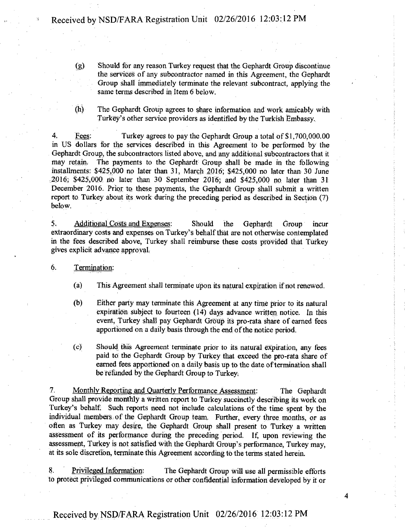- (g) Should for any reason Turkey request that the Gephardt Group discontinue the services of any subcontractor named in this Agreement, the Gephardt Group shall immediately terminate the relevant subcontract, applying the same terms described in Item 6 below.
- (h) The Gephardt Group agrees to share information and work amicably with Turkey's other service providers as identified by the Turkish Embassy.

4. Fees: Turkey agrees to pay the Gephardt Group a total of \$1,700,000.00 in US dollars for the services described in this Agreement to be performed by the Gephardt Group, the subcontractors listed above, and any additional subcontractors that it may retain. The payments to the Gephardt Group shall be made in the following installments: \$425,000 no later than 31, March 2016; \$425,000 no later than 30 June  $2016$ ; \$425,000 no later than 30 September 2016; and \$425,000 no later than 31 December 2016. Prior to these payments, the Gephardt Group shall submit a written report to Turkey about its work during the preceding period as described in Section (7) below.

5. Additional Costs and Expenses: Should the Gephardt Group incur extraordinary costs and expenses on Turkey's behalf that are not otherwise contemplated in the fees described above, Turkey shall reimburse these costs provided that Turkey gives explicit advance approval;

### 6. Termination:

- (a) This Agreement shall terminate upon its natural expiration if riot renewed.
- (b) Either party may terminate this Agreement at any time prior to its natural expiration subject to fourteen (14) days advance written notice. In this event, Turkey shall pay Gephardt Group its pro-rata share of earned fees apportioned on a daily basis through the end of the notice period.
- (c) Should this Agreement terminate prior to its natural expiration, any fees paid to the Gephardt Group by Turkey that exceed the pro-rata share of earned fees apportioned on a daily basis up to the date of termination shall be refunded by the Gephardt Group to Turkey.

7. Monthly Reporting and Quarterly Performance Assessment: The Gephardt Group shall provide monthly a written report to Turkey succinctly describing its work on Turkey's behalf. Such reports need not include calculations of the time spent by the individual members of the Gephardt Group team. Further, every three months, or as often as Turkey may desire, the Gephardt Group shall present to Turkey a written assessment of its performance during the preceding period. If, upon reviewing the assessment, Turkey is not satisfied with the Gephardt Group's performance, Turkey may, at its sole discretion, terminate this Agreement according to the terms stated herein.

8. Privileged Information: The Gephardt Group will use all permissible efforts to protect privileged communications or other confidential information developed by it or

 $\boldsymbol{A}$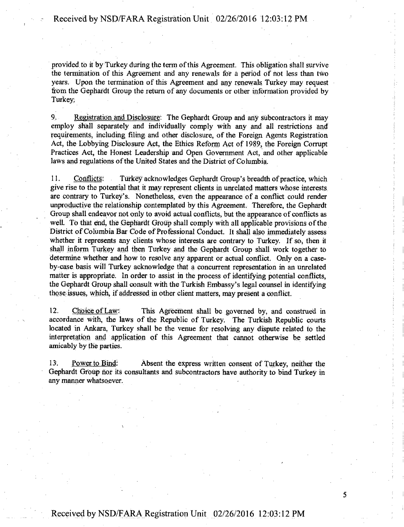provided to it by Turkey during the term of this Agreement. This obligation shall survive the termination of this Agreement and any renewals for a period of hot less than two years. Upon the termination of this Agreement and any renewals Turkey may request from the Gephardt Group the return of any documents or other information provided by Turkey.

9. Registration and Disclosure: The Gephardt Group and any subcontractors it may employ shall separately and individually comply With any and all restrictions and requirements, including filing and other disclosure, of the Foreign Agents Registration Act, the Lobbying Disclosure Act, the Ethics Reform Act of 1989, the Foreign Corrupt Practices Act, the Honest Leadership and Open Govemment Act, and other applicable laws and regulations of the United States and the District of Columbia.

11. Conflicts: Turkey acknowledges Gephardt Group's breadth of practice, which give rise to the potential that it may represent clients in unrelated matters whose interests are contrary to Turkey's. Nonetheless, even the appearance of a conflict could render unproductive the relationship contemplated by this Agreement. Therefore, the Gephardt Group shall endeavor not only to avoid actual conflicts, but the appearance of conflicts as well. To that end, the Gephardt Group shall comply with all applicable provisions of the District of Columbia Bar Code of Professional Conduct. It shall also immediately assess whether it represents any clients whose interests are contrary to Turkey. If so, then it shall inform Turkey and then Turkey and the Gephardt Group shall work together to determine whether and how to resolve any apparent or actual conflict. Only on a caseby-case basis will Turkey acknowledge that a concurrent representation in an unrelated matter is appropriate. In order to assist in the process of identifying potential conflicts, the Gephardt Group shall consult with the Turkish Embassy's legal counsel in identifying those issues, which, if addressed in other client matters, may present a conflict.

12. Choice of Law: This Agreement shall be governed by, and construed in accordance with, the laws of the Republic of Turkey. The Turkish Republic courts located in Ankara, Turkey shall be the venue for resolving any dispute related to the interpretation and application of this Agreement that cannot Otherwise be settled amicably by the parties.

13. Power to Bind: Absent the express written consent of Turkey, neither the Gephardt Group nor its consultants and subcontractors have authority to bind Turkey in any manner whatsoever.

5